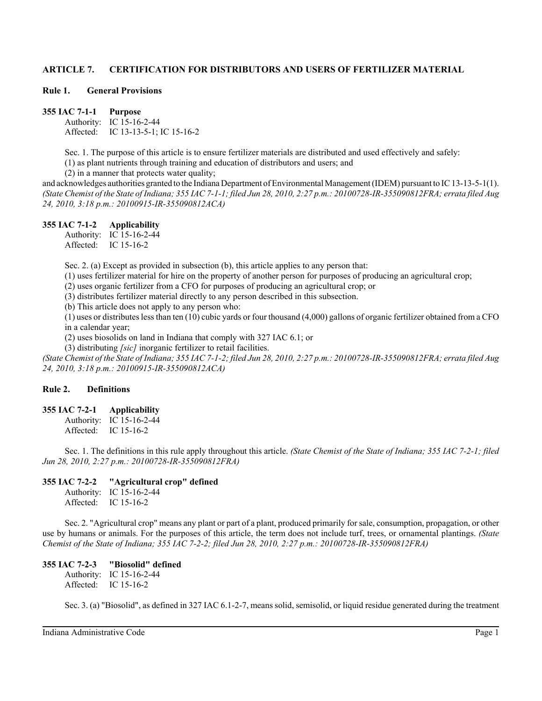#### **Rule 1. General Provisions**

**355 IAC 7-1-1 Purpose** Authority: IC 15-16-2-44 Affected: IC 13-13-5-1; IC 15-16-2

Sec. 1. The purpose of this article is to ensure fertilizer materials are distributed and used effectively and safely:

(1) as plant nutrients through training and education of distributors and users; and

(2) in a manner that protects water quality;

and acknowledges authorities granted to the Indiana Department of Environmental Management (IDEM) pursuant to IC 13-13-5-1(1). *(State Chemist of the State of Indiana; 355 IAC 7-1-1; filed Jun 28, 2010, 2:27 p.m.: 20100728-IR-355090812FRA; errata filed Aug 24, 2010, 3:18 p.m.: 20100915-IR-355090812ACA)*

#### **355 IAC 7-1-2 Applicability**

Authority: IC 15-16-2-44 Affected: IC 15-16-2

Sec. 2. (a) Except as provided in subsection (b), this article applies to any person that:

(1) uses fertilizer material for hire on the property of another person for purposes of producing an agricultural crop;

(2) uses organic fertilizer from a CFO for purposes of producing an agricultural crop; or

(3) distributes fertilizer material directly to any person described in this subsection.

(b) This article does not apply to any person who:

(1) uses or distributes less than ten (10) cubic yards or four thousand (4,000) gallons of organic fertilizer obtained from a CFO in a calendar year;

(2) uses biosolids on land in Indiana that comply with 327 IAC 6.1; or

(3) distributing *[sic]* inorganic fertilizer to retail facilities.

*(State Chemist of the State of Indiana; 355 IAC 7-1-2; filed Jun 28, 2010, 2:27 p.m.: 20100728-IR-355090812FRA; errata filed Aug 24, 2010, 3:18 p.m.: 20100915-IR-355090812ACA)*

## **Rule 2. Definitions**

**355 IAC 7-2-1 Applicability**

Authority: IC 15-16-2-44 Affected: IC 15-16-2

Sec. 1. The definitions in this rule apply throughout this article. *(State Chemist of the State of Indiana; 355 IAC 7-2-1; filed Jun 28, 2010, 2:27 p.m.: 20100728-IR-355090812FRA)*

#### **355 IAC 7-2-2 "Agricultural crop" defined**

Authority: IC 15-16-2-44 Affected: IC 15-16-2

Sec. 2. "Agricultural crop" means any plant or part of a plant, produced primarily for sale, consumption, propagation, or other use by humans or animals. For the purposes of this article, the term does not include turf, trees, or ornamental plantings. *(State Chemist of the State of Indiana; 355 IAC 7-2-2; filed Jun 28, 2010, 2:27 p.m.: 20100728-IR-355090812FRA)*

## **355 IAC 7-2-3 "Biosolid" defined**

Authority: IC 15-16-2-44 Affected: IC 15-16-2

Sec. 3. (a) "Biosolid", as defined in 327 IAC 6.1-2-7, means solid, semisolid, or liquid residue generated during the treatment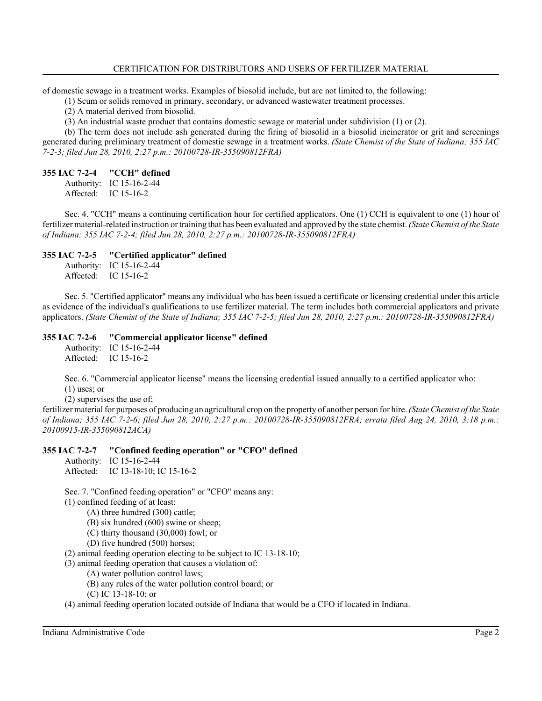of domestic sewage in a treatment works. Examples of biosolid include, but are not limited to, the following:

(1) Scum or solids removed in primary, secondary, or advanced wastewater treatment processes.

(2) A material derived from biosolid.

(3) An industrial waste product that contains domestic sewage or material under subdivision (1) or (2).

(b) The term does not include ash generated during the firing of biosolid in a biosolid incinerator or grit and screenings generated during preliminary treatment of domestic sewage in a treatment works. *(State Chemist of the State of Indiana; 355 IAC 7-2-3; filed Jun 28, 2010, 2:27 p.m.: 20100728-IR-355090812FRA)*

# **355 IAC 7-2-4 "CCH" defined**

Authority: IC 15-16-2-44 Affected: IC 15-16-2

Sec. 4. "CCH" means a continuing certification hour for certified applicators. One (1) CCH is equivalent to one (1) hour of fertilizer material-related instruction or training that has been evaluated and approved by the state chemist. *(State Chemist of the State of Indiana; 355 IAC 7-2-4; filed Jun 28, 2010, 2:27 p.m.: 20100728-IR-355090812FRA)*

# **355 IAC 7-2-5 "Certified applicator" defined**

Authority: IC 15-16-2-44 Affected: IC 15-16-2

Sec. 5. "Certified applicator" means any individual who has been issued a certificate or licensing credential under this article as evidence of the individual's qualifications to use fertilizer material. The term includes both commercial applicators and private applicators. *(State Chemist of the State of Indiana; 355 IAC 7-2-5; filed Jun 28, 2010, 2:27 p.m.: 20100728-IR-355090812FRA)*

**355 IAC 7-2-6 "Commercial applicator license" defined** Authority: IC 15-16-2-44 Affected: IC 15-16-2

Sec. 6. "Commercial applicator license" means the licensing credential issued annually to a certified applicator who: (1) uses; or

(2) supervises the use of;

fertilizer material for purposes of producing an agricultural crop on the property of another person for hire. *(State Chemist of the State of Indiana; 355 IAC 7-2-6; filed Jun 28, 2010, 2:27 p.m.: 20100728-IR-355090812FRA; errata filed Aug 24, 2010, 3:18 p.m.: 20100915-IR-355090812ACA)*

# **355 IAC 7-2-7 "Confined feeding operation" or "CFO" defined**

Authority: IC 15-16-2-44 Affected: IC 13-18-10; IC 15-16-2

Sec. 7. "Confined feeding operation" or "CFO" means any:

(1) confined feeding of at least:

- (A) three hundred (300) cattle;
- (B) six hundred (600) swine or sheep;
- (C) thirty thousand (30,000) fowl; or
- (D) five hundred (500) horses;

(2) animal feeding operation electing to be subject to IC 13-18-10;

(3) animal feeding operation that causes a violation of:

- (A) water pollution control laws;
- (B) any rules of the water pollution control board; or
- (C) IC 13-18-10; or

(4) animal feeding operation located outside of Indiana that would be a CFO if located in Indiana.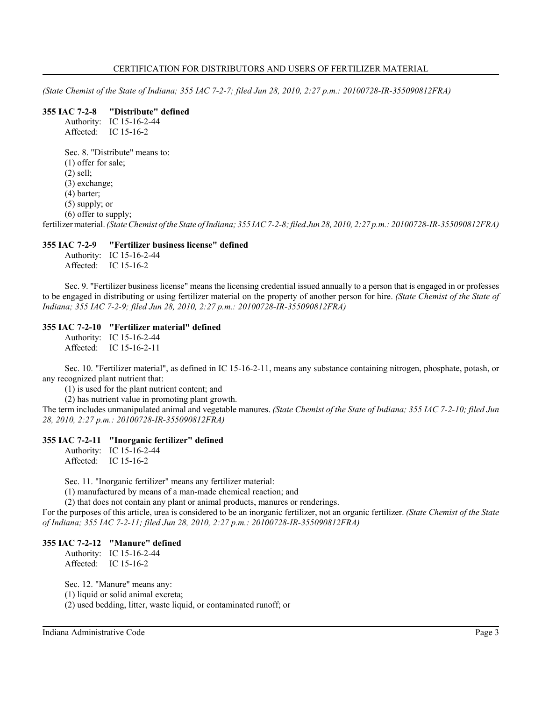*(State Chemist of the State of Indiana; 355 IAC 7-2-7; filed Jun 28, 2010, 2:27 p.m.: 20100728-IR-355090812FRA)*

#### **355 IAC 7-2-8 "Distribute" defined** Authority: IC 15-16-2-44

Affected: IC 15-16-2 Sec. 8. "Distribute" means to: (1) offer for sale; (2) sell; (3) exchange; (4) barter; (5) supply; or (6) offer to supply; fertilizer material. *(State Chemist of the State of Indiana; 355 IAC 7-2-8; filed Jun 28, 2010, 2:27 p.m.: 20100728-IR-355090812FRA)*

#### **355 IAC 7-2-9 "Fertilizer business license" defined**

Authority: IC 15-16-2-44 Affected: IC 15-16-2

Sec. 9. "Fertilizer business license" means the licensing credential issued annually to a person that is engaged in or professes to be engaged in distributing or using fertilizer material on the property of another person for hire. *(State Chemist of the State of Indiana; 355 IAC 7-2-9; filed Jun 28, 2010, 2:27 p.m.: 20100728-IR-355090812FRA)*

# **355 IAC 7-2-10 "Fertilizer material" defined**

Authority: IC 15-16-2-44 Affected: IC 15-16-2-11

Sec. 10. "Fertilizer material", as defined in IC 15-16-2-11, means any substance containing nitrogen, phosphate, potash, or any recognized plant nutrient that:

(1) is used for the plant nutrient content; and

(2) has nutrient value in promoting plant growth.

The term includes unmanipulated animal and vegetable manures. *(State Chemist of the State of Indiana; 355 IAC 7-2-10; filed Jun 28, 2010, 2:27 p.m.: 20100728-IR-355090812FRA)*

#### **355 IAC 7-2-11 "Inorganic fertilizer" defined**

Authority: IC 15-16-2-44 Affected: IC 15-16-2

Sec. 11. "Inorganic fertilizer" means any fertilizer material:

(1) manufactured by means of a man-made chemical reaction; and

(2) that does not contain any plant or animal products, manures or renderings.

For the purposes of this article, urea is considered to be an inorganic fertilizer, not an organic fertilizer. *(State Chemist of the State of Indiana; 355 IAC 7-2-11; filed Jun 28, 2010, 2:27 p.m.: 20100728-IR-355090812FRA)*

#### **355 IAC 7-2-12 "Manure" defined**

Authority: IC 15-16-2-44 Affected: IC 15-16-2

Sec. 12. "Manure" means any: (1) liquid or solid animal excreta; (2) used bedding, litter, waste liquid, or contaminated runoff; or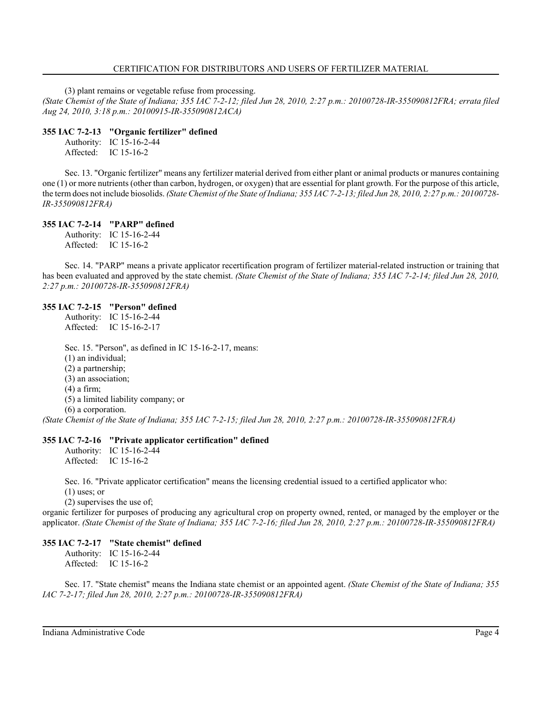(3) plant remains or vegetable refuse from processing.

*(State Chemist of the State of Indiana; 355 IAC 7-2-12; filed Jun 28, 2010, 2:27 p.m.: 20100728-IR-355090812FRA; errata filed Aug 24, 2010, 3:18 p.m.: 20100915-IR-355090812ACA)*

#### **355 IAC 7-2-13 "Organic fertilizer" defined**

Authority: IC 15-16-2-44 Affected: IC 15-16-2

Sec. 13. "Organic fertilizer" means any fertilizer material derived from either plant or animal products or manures containing one (1) or more nutrients (other than carbon, hydrogen, or oxygen) that are essential for plant growth. For the purpose of this article, the term does not include biosolids. *(State Chemist of the State of Indiana; 355 IAC 7-2-13; filed Jun 28, 2010, 2:27 p.m.: 20100728- IR-355090812FRA)*

## **355 IAC 7-2-14 "PARP" defined**

Authority: IC 15-16-2-44 Affected: IC 15-16-2

Sec. 14. "PARP" means a private applicator recertification program of fertilizer material-related instruction or training that has been evaluated and approved by the state chemist. *(State Chemist of the State of Indiana; 355 IAC 7-2-14; filed Jun 28, 2010, 2:27 p.m.: 20100728-IR-355090812FRA)*

#### **355 IAC 7-2-15 "Person" defined**

Authority: IC 15-16-2-44 Affected: IC 15-16-2-17

Sec. 15. "Person", as defined in IC 15-16-2-17, means: (1) an individual; (2) a partnership; (3) an association; (4) a firm; (5) a limited liability company; or (6) a corporation.

*(State Chemist of the State of Indiana; 355 IAC 7-2-15; filed Jun 28, 2010, 2:27 p.m.: 20100728-IR-355090812FRA)*

#### **355 IAC 7-2-16 "Private applicator certification" defined**

Authority: IC 15-16-2-44 Affected: IC 15-16-2

Sec. 16. "Private applicator certification" means the licensing credential issued to a certified applicator who: (1) uses; or

(2) supervises the use of;

organic fertilizer for purposes of producing any agricultural crop on property owned, rented, or managed by the employer or the applicator. *(State Chemist of the State of Indiana; 355 IAC 7-2-16; filed Jun 28, 2010, 2:27 p.m.: 20100728-IR-355090812FRA)*

## **355 IAC 7-2-17 "State chemist" defined**

Authority: IC 15-16-2-44 Affected: IC 15-16-2

Sec. 17. "State chemist" means the Indiana state chemist or an appointed agent. *(State Chemist of the State of Indiana; 355 IAC 7-2-17; filed Jun 28, 2010, 2:27 p.m.: 20100728-IR-355090812FRA)*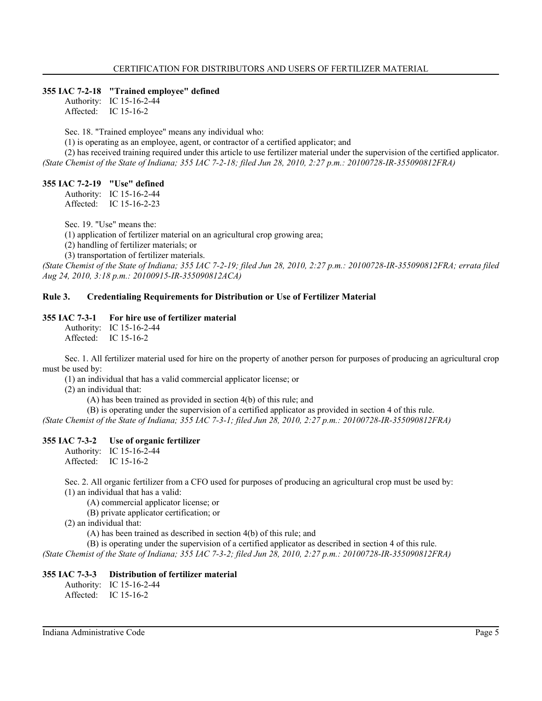## **355 IAC 7-2-18 "Trained employee" defined**

Authority: IC 15-16-2-44 Affected: IC 15-16-2

Sec. 18. "Trained employee" means any individual who:

(1) is operating as an employee, agent, or contractor of a certified applicator; and

(2) has received training required under this article to use fertilizer material under the supervision of the certified applicator. *(State Chemist of the State of Indiana; 355 IAC 7-2-18; filed Jun 28, 2010, 2:27 p.m.: 20100728-IR-355090812FRA)*

## **355 IAC 7-2-19 "Use" defined**

Authority: IC 15-16-2-44 Affected: IC 15-16-2-23

Sec. 19. "Use" means the:

(1) application of fertilizer material on an agricultural crop growing area;

(2) handling of fertilizer materials; or

(3) transportation of fertilizer materials.

*(State Chemist of the State of Indiana; 355 IAC 7-2-19; filed Jun 28, 2010, 2:27 p.m.: 20100728-IR-355090812FRA; errata filed Aug 24, 2010, 3:18 p.m.: 20100915-IR-355090812ACA)*

# **Rule 3. Credentialing Requirements for Distribution or Use of Fertilizer Material**

#### **355 IAC 7-3-1 For hire use of fertilizer material**

Authority: IC 15-16-2-44 Affected: IC 15-16-2

Sec. 1. All fertilizer material used for hire on the property of another person for purposes of producing an agricultural crop must be used by:

(1) an individual that has a valid commercial applicator license; or

(2) an individual that:

(A) has been trained as provided in section 4(b) of this rule; and

(B) is operating under the supervision of a certified applicator as provided in section 4 of this rule. *(State Chemist of the State of Indiana; 355 IAC 7-3-1; filed Jun 28, 2010, 2:27 p.m.: 20100728-IR-355090812FRA)*

## **355 IAC 7-3-2 Use of organic fertilizer**

Authority: IC 15-16-2-44 Affected: IC 15-16-2

Sec. 2. All organic fertilizer from a CFO used for purposes of producing an agricultural crop must be used by: (1) an individual that has a valid:

(A) commercial applicator license; or

(B) private applicator certification; or

(2) an individual that:

(A) has been trained as described in section 4(b) of this rule; and

(B) is operating under the supervision of a certified applicator as described in section 4 of this rule.

*(State Chemist of the State of Indiana; 355 IAC 7-3-2; filed Jun 28, 2010, 2:27 p.m.: 20100728-IR-355090812FRA)*

## **355 IAC 7-3-3 Distribution of fertilizer material**

Authority: IC 15-16-2-44 Affected: IC 15-16-2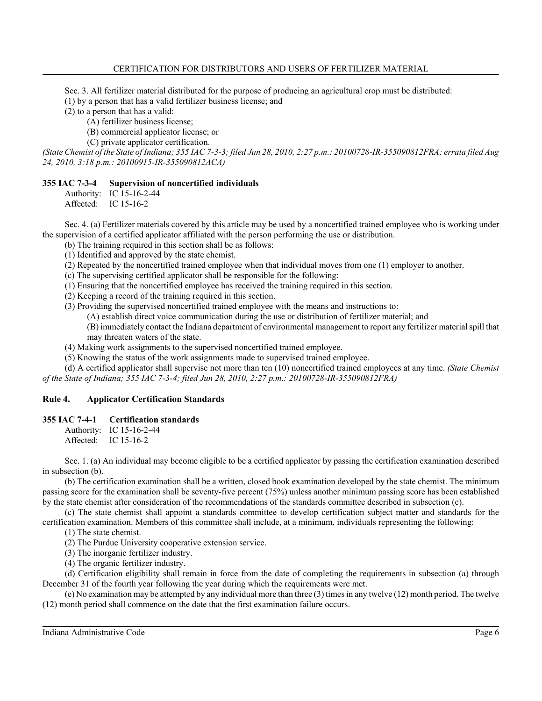Sec. 3. All fertilizer material distributed for the purpose of producing an agricultural crop must be distributed:

(1) by a person that has a valid fertilizer business license; and

(2) to a person that has a valid:

(A) fertilizer business license;

(B) commercial applicator license; or

(C) private applicator certification.

*(State Chemist of the State of Indiana; 355 IAC 7-3-3; filed Jun 28, 2010, 2:27 p.m.: 20100728-IR-355090812FRA; errata filed Aug 24, 2010, 3:18 p.m.: 20100915-IR-355090812ACA)*

## **355 IAC 7-3-4 Supervision of noncertified individuals**

Authority: IC 15-16-2-44 Affected: IC 15-16-2

Sec. 4. (a) Fertilizer materials covered by this article may be used by a noncertified trained employee who is working under the supervision of a certified applicator affiliated with the person performing the use or distribution.

(b) The training required in this section shall be as follows:

(1) Identified and approved by the state chemist.

(2) Repeated by the noncertified trained employee when that individual moves from one (1) employer to another.

(c) The supervising certified applicator shall be responsible for the following:

(1) Ensuring that the noncertified employee has received the training required in this section.

(2) Keeping a record of the training required in this section.

(3) Providing the supervised noncertified trained employee with the means and instructions to:

(A) establish direct voice communication during the use or distribution of fertilizer material; and

(B) immediately contact the Indiana department of environmental management to report any fertilizer material spill that may threaten waters of the state.

(4) Making work assignments to the supervised noncertified trained employee.

(5) Knowing the status of the work assignments made to supervised trained employee.

(d) A certified applicator shall supervise not more than ten (10) noncertified trained employees at any time. *(State Chemist of the State of Indiana; 355 IAC 7-3-4; filed Jun 28, 2010, 2:27 p.m.: 20100728-IR-355090812FRA)*

# **Rule 4. Applicator Certification Standards**

## **355 IAC 7-4-1 Certification standards**

Authority: IC 15-16-2-44 Affected: IC 15-16-2

Sec. 1. (a) An individual may become eligible to be a certified applicator by passing the certification examination described in subsection (b).

(b) The certification examination shall be a written, closed book examination developed by the state chemist. The minimum passing score for the examination shall be seventy-five percent (75%) unless another minimum passing score has been established by the state chemist after consideration of the recommendations of the standards committee described in subsection (c).

(c) The state chemist shall appoint a standards committee to develop certification subject matter and standards for the certification examination. Members of this committee shall include, at a minimum, individuals representing the following:

(1) The state chemist.

(2) The Purdue University cooperative extension service.

(3) The inorganic fertilizer industry.

(4) The organic fertilizer industry.

(d) Certification eligibility shall remain in force from the date of completing the requirements in subsection (a) through December 31 of the fourth year following the year during which the requirements were met.

(e) No examination may be attempted by any individual more than three (3) times in any twelve (12) month period. The twelve (12) month period shall commence on the date that the first examination failure occurs.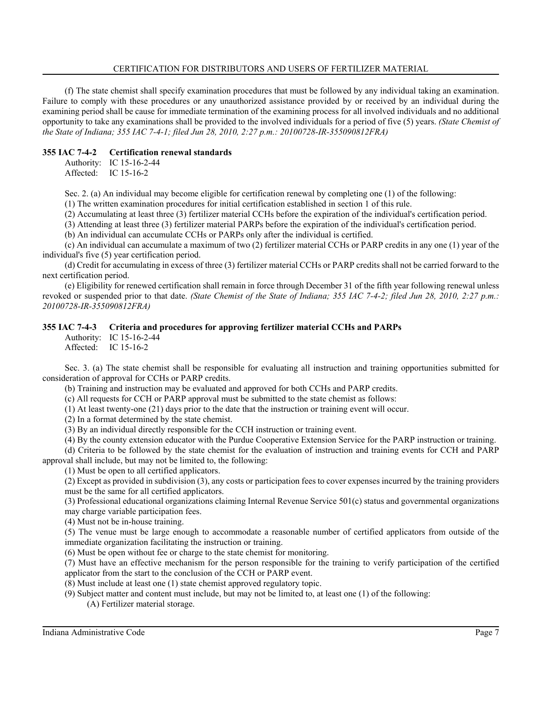(f) The state chemist shall specify examination procedures that must be followed by any individual taking an examination. Failure to comply with these procedures or any unauthorized assistance provided by or received by an individual during the examining period shall be cause for immediate termination of the examining process for all involved individuals and no additional opportunity to take any examinations shall be provided to the involved individuals for a period of five (5) years. *(State Chemist of the State of Indiana; 355 IAC 7-4-1; filed Jun 28, 2010, 2:27 p.m.: 20100728-IR-355090812FRA)*

## **355 IAC 7-4-2 Certification renewal standards**

Authority: IC 15-16-2-44 Affected: IC 15-16-2

Sec. 2. (a) An individual may become eligible for certification renewal by completing one (1) of the following:

(1) The written examination procedures for initial certification established in section 1 of this rule.

(2) Accumulating at least three (3) fertilizer material CCHs before the expiration of the individual's certification period.

(3) Attending at least three (3) fertilizer material PARPs before the expiration of the individual's certification period.

(b) An individual can accumulate CCHs or PARPs only after the individual is certified.

(c) An individual can accumulate a maximum of two (2) fertilizer material CCHs or PARP credits in any one (1) year of the individual's five (5) year certification period.

(d) Credit for accumulating in excess of three (3) fertilizer material CCHs or PARP credits shall not be carried forward to the next certification period.

(e) Eligibility for renewed certification shall remain in force through December 31 of the fifth year following renewal unless revoked or suspended prior to that date. *(State Chemist of the State of Indiana; 355 IAC 7-4-2; filed Jun 28, 2010, 2:27 p.m.: 20100728-IR-355090812FRA)*

# **355 IAC 7-4-3 Criteria and procedures for approving fertilizer material CCHs and PARPs**

Authority: IC 15-16-2-44 Affected: IC 15-16-2

Sec. 3. (a) The state chemist shall be responsible for evaluating all instruction and training opportunities submitted for consideration of approval for CCHs or PARP credits.

(b) Training and instruction may be evaluated and approved for both CCHs and PARP credits.

(c) All requests for CCH or PARP approval must be submitted to the state chemist as follows:

(1) At least twenty-one (21) days prior to the date that the instruction or training event will occur.

(2) In a format determined by the state chemist.

(3) By an individual directly responsible for the CCH instruction or training event.

(4) By the county extension educator with the Purdue Cooperative Extension Service for the PARP instruction or training.

(d) Criteria to be followed by the state chemist for the evaluation of instruction and training events for CCH and PARP approval shall include, but may not be limited to, the following:

(1) Must be open to all certified applicators.

(2) Except as provided in subdivision (3), any costs or participation fees to cover expenses incurred by the training providers must be the same for all certified applicators.

(3) Professional educational organizations claiming Internal Revenue Service 501(c) status and governmental organizations may charge variable participation fees.

(4) Must not be in-house training.

(5) The venue must be large enough to accommodate a reasonable number of certified applicators from outside of the immediate organization facilitating the instruction or training.

(6) Must be open without fee or charge to the state chemist for monitoring.

(7) Must have an effective mechanism for the person responsible for the training to verify participation of the certified applicator from the start to the conclusion of the CCH or PARP event.

(8) Must include at least one (1) state chemist approved regulatory topic.

(9) Subject matter and content must include, but may not be limited to, at least one (1) of the following:

(A) Fertilizer material storage.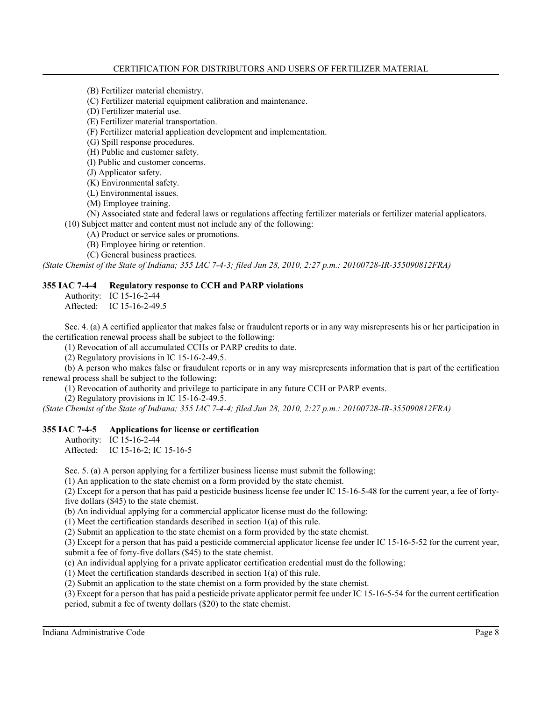(B) Fertilizer material chemistry.

(C) Fertilizer material equipment calibration and maintenance.

(D) Fertilizer material use.

(E) Fertilizer material transportation.

(F) Fertilizer material application development and implementation.

(G) Spill response procedures.

(H) Public and customer safety.

(I) Public and customer concerns.

(J) Applicator safety.

(K) Environmental safety.

(L) Environmental issues.

(M) Employee training.

(N) Associated state and federal laws or regulations affecting fertilizer materials or fertilizer material applicators.

(10) Subject matter and content must not include any of the following:

(A) Product or service sales or promotions.

(B) Employee hiring or retention.

(C) General business practices.

*(State Chemist of the State of Indiana; 355 IAC 7-4-3; filed Jun 28, 2010, 2:27 p.m.: 20100728-IR-355090812FRA)*

## **355 IAC 7-4-4 Regulatory response to CCH and PARP violations**

Authority: IC 15-16-2-44

Affected: IC 15-16-2-49.5

Sec. 4. (a) A certified applicator that makes false or fraudulent reports or in any way misrepresents his or her participation in the certification renewal process shall be subject to the following:

(1) Revocation of all accumulated CCHs or PARP credits to date.

(2) Regulatory provisions in IC 15-16-2-49.5.

(b) A person who makes false or fraudulent reports or in any way misrepresents information that is part of the certification renewal process shall be subject to the following:

(1) Revocation of authority and privilege to participate in any future CCH or PARP events.

(2) Regulatory provisions in IC 15-16-2-49.5.

*(State Chemist of the State of Indiana; 355 IAC 7-4-4; filed Jun 28, 2010, 2:27 p.m.: 20100728-IR-355090812FRA)*

## **355 IAC 7-4-5 Applications for license or certification**

Authority: IC 15-16-2-44

Affected: IC 15-16-2; IC 15-16-5

Sec. 5. (a) A person applying for a fertilizer business license must submit the following:

(1) An application to the state chemist on a form provided by the state chemist.

(2) Except for a person that has paid a pesticide business license fee under IC 15-16-5-48 for the current year, a fee of fortyfive dollars (\$45) to the state chemist.

(b) An individual applying for a commercial applicator license must do the following:

(1) Meet the certification standards described in section 1(a) of this rule.

(2) Submit an application to the state chemist on a form provided by the state chemist.

(3) Except for a person that has paid a pesticide commercial applicator license fee under IC 15-16-5-52 for the current year, submit a fee of forty-five dollars (\$45) to the state chemist.

(c) An individual applying for a private applicator certification credential must do the following:

(1) Meet the certification standards described in section 1(a) of this rule.

(2) Submit an application to the state chemist on a form provided by the state chemist.

(3) Except for a person that has paid a pesticide private applicator permit fee under IC 15-16-5-54 for the current certification period, submit a fee of twenty dollars (\$20) to the state chemist.